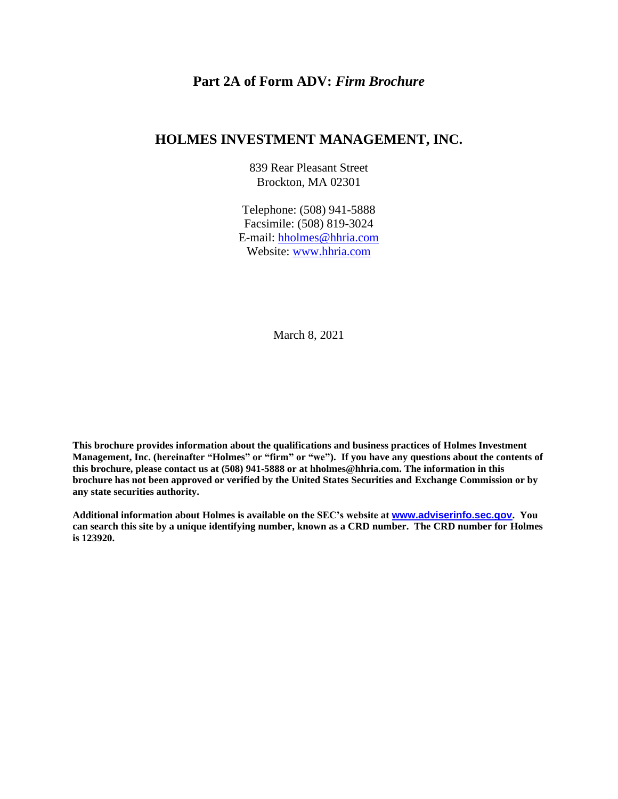## **Part 2A of Form ADV:** *Firm Brochure*

#### **HOLMES INVESTMENT MANAGEMENT, INC.**

839 Rear Pleasant Street Brockton, MA 02301

Telephone: (508) 941-5888 Facsimile: (508) 819-3024 E-mail: hholmes@hhria.com Website: [www.hhria.com](http://www.hhria.com/)

March 8, 2021

**This brochure provides information about the qualifications and business practices of Holmes Investment Management, Inc. (hereinafter "Holmes" or "firm" or "we"). If you have any questions about the contents of this brochure, please contact us at (508) 941-5888 or at hholmes@hhria.com. The information in this brochure has not been approved or verified by the United States Securities and Exchange Commission or by any state securities authority.**

**Additional information about Holmes is available on the SEC's website at [www.adviserinfo.sec.gov](http://www.adviserinfo.sec.gov/). You can search this site by a unique identifying number, known as a CRD number. The CRD number for Holmes is 123920.**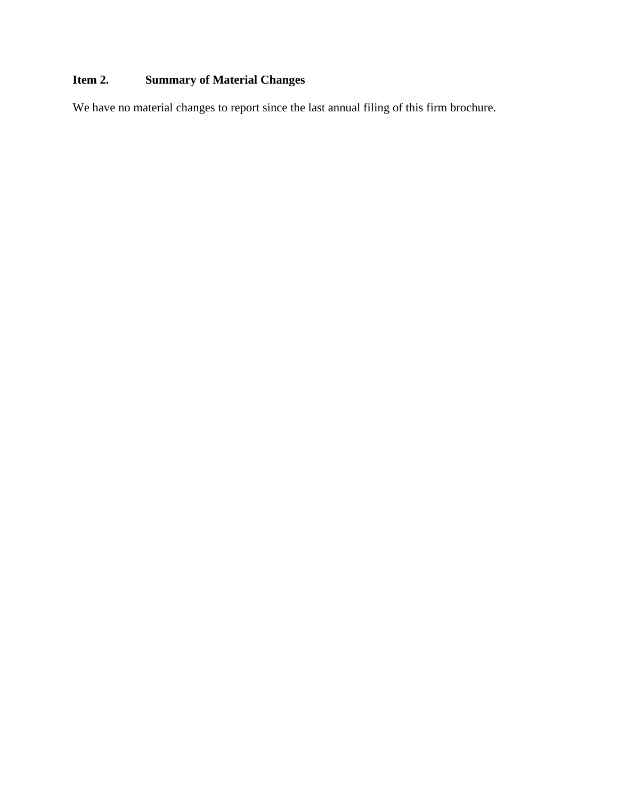# **Item 2. Summary of Material Changes**

We have no material changes to report since the last annual filing of this firm brochure.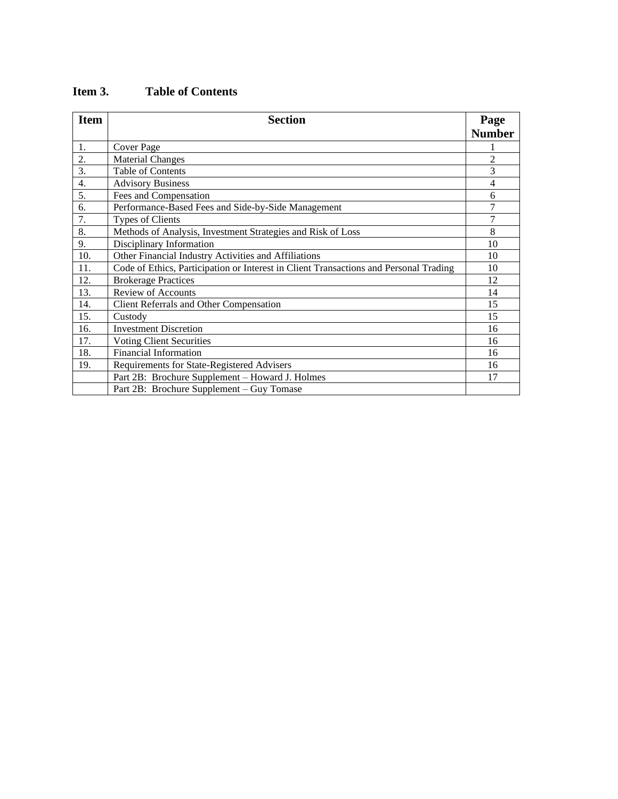| <b>Item</b>      | <b>Section</b>                                                                        | Page           |
|------------------|---------------------------------------------------------------------------------------|----------------|
|                  |                                                                                       | <b>Number</b>  |
| 1.               | Cover Page                                                                            |                |
| 2.               | <b>Material Changes</b>                                                               | $\overline{c}$ |
| $\overline{3}$ . | <b>Table of Contents</b>                                                              | 3              |
| $\overline{4}$ . | <b>Advisory Business</b>                                                              | $\overline{4}$ |
| 5.               | Fees and Compensation                                                                 | 6              |
| 6.               | Performance-Based Fees and Side-by-Side Management                                    | 7              |
| 7.               | <b>Types of Clients</b>                                                               | 7              |
| 8.               | Methods of Analysis, Investment Strategies and Risk of Loss                           | 8              |
| 9.               | Disciplinary Information                                                              | 10             |
| 10.              | Other Financial Industry Activities and Affiliations                                  | 10             |
| 11.              | Code of Ethics, Participation or Interest in Client Transactions and Personal Trading | 10             |
| 12.              | <b>Brokerage Practices</b>                                                            | 12             |
| 13.              | <b>Review of Accounts</b>                                                             | 14             |
| 14.              | Client Referrals and Other Compensation                                               | 15             |
| 15.              | Custody                                                                               | 15             |
| 16.              | <b>Investment Discretion</b>                                                          | 16             |
| 17.              | <b>Voting Client Securities</b>                                                       | 16             |
| 18.              | <b>Financial Information</b>                                                          | 16             |
| 19.              | Requirements for State-Registered Advisers                                            | 16             |
|                  | Part 2B: Brochure Supplement - Howard J. Holmes                                       | 17             |
|                  | Part 2B: Brochure Supplement - Guy Tomase                                             |                |

## **Item 3. Table of Contents**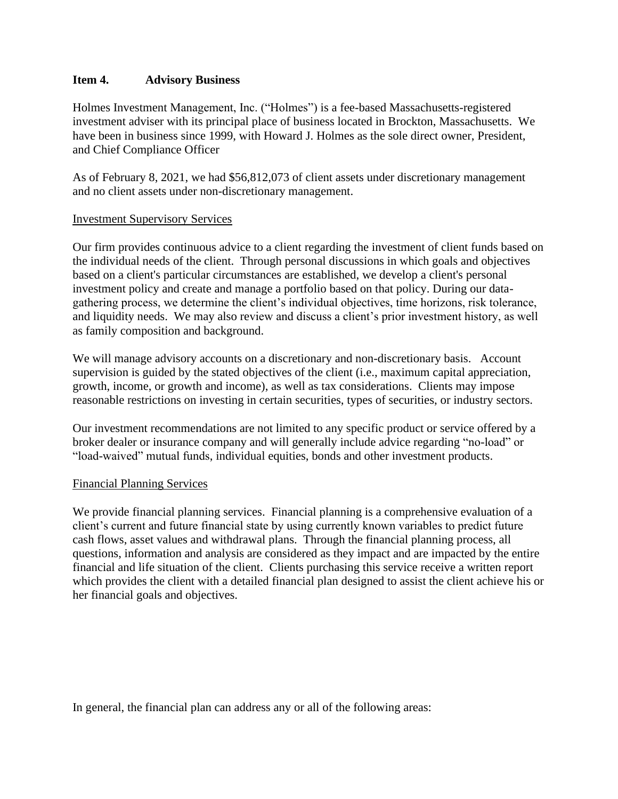#### **Item 4. Advisory Business**

Holmes Investment Management, Inc. ("Holmes") is a fee-based Massachusetts-registered investment adviser with its principal place of business located in Brockton, Massachusetts. We have been in business since 1999, with Howard J. Holmes as the sole direct owner, President, and Chief Compliance Officer

As of February 8, 2021, we had \$56,812,073 of client assets under discretionary management and no client assets under non-discretionary management.

#### Investment Supervisory Services

Our firm provides continuous advice to a client regarding the investment of client funds based on the individual needs of the client. Through personal discussions in which goals and objectives based on a client's particular circumstances are established, we develop a client's personal investment policy and create and manage a portfolio based on that policy. During our datagathering process, we determine the client's individual objectives, time horizons, risk tolerance, and liquidity needs. We may also review and discuss a client's prior investment history, as well as family composition and background.

We will manage advisory accounts on a discretionary and non-discretionary basis. Account supervision is guided by the stated objectives of the client (i.e., maximum capital appreciation, growth, income, or growth and income), as well as tax considerations. Clients may impose reasonable restrictions on investing in certain securities, types of securities, or industry sectors.

Our investment recommendations are not limited to any specific product or service offered by a broker dealer or insurance company and will generally include advice regarding "no-load" or "load-waived" mutual funds, individual equities, bonds and other investment products.

#### Financial Planning Services

We provide financial planning services. Financial planning is a comprehensive evaluation of a client's current and future financial state by using currently known variables to predict future cash flows, asset values and withdrawal plans. Through the financial planning process, all questions, information and analysis are considered as they impact and are impacted by the entire financial and life situation of the client. Clients purchasing this service receive a written report which provides the client with a detailed financial plan designed to assist the client achieve his or her financial goals and objectives.

In general, the financial plan can address any or all of the following areas: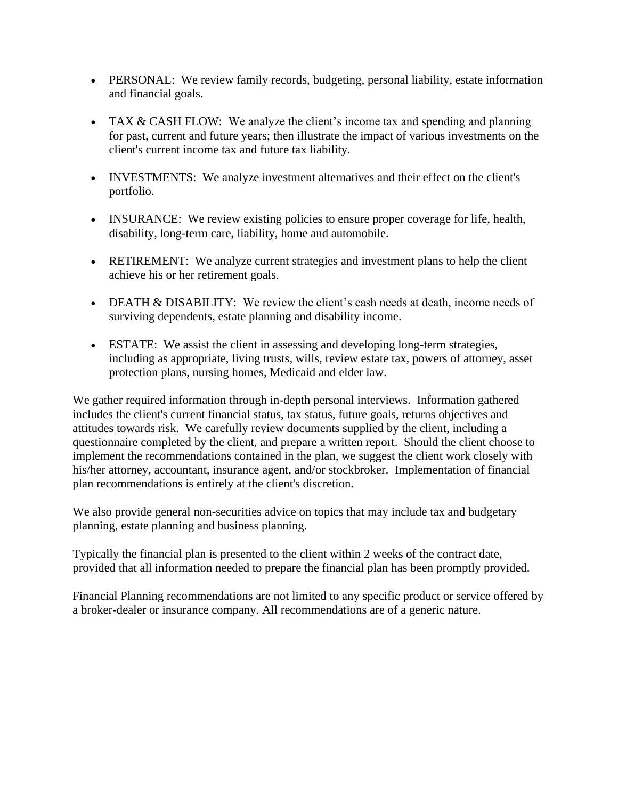- PERSONAL: We review family records, budgeting, personal liability, estate information and financial goals.
- TAX & CASH FLOW: We analyze the client's income tax and spending and planning for past, current and future years; then illustrate the impact of various investments on the client's current income tax and future tax liability.
- INVESTMENTS: We analyze investment alternatives and their effect on the client's portfolio.
- INSURANCE: We review existing policies to ensure proper coverage for life, health, disability, long-term care, liability, home and automobile.
- RETIREMENT: We analyze current strategies and investment plans to help the client achieve his or her retirement goals.
- DEATH & DISABILITY: We review the client's cash needs at death, income needs of surviving dependents, estate planning and disability income.
- ESTATE: We assist the client in assessing and developing long-term strategies, including as appropriate, living trusts, wills, review estate tax, powers of attorney, asset protection plans, nursing homes, Medicaid and elder law.

We gather required information through in-depth personal interviews. Information gathered includes the client's current financial status, tax status, future goals, returns objectives and attitudes towards risk. We carefully review documents supplied by the client, including a questionnaire completed by the client, and prepare a written report. Should the client choose to implement the recommendations contained in the plan, we suggest the client work closely with his/her attorney, accountant, insurance agent, and/or stockbroker. Implementation of financial plan recommendations is entirely at the client's discretion.

We also provide general non-securities advice on topics that may include tax and budgetary planning, estate planning and business planning.

Typically the financial plan is presented to the client within 2 weeks of the contract date, provided that all information needed to prepare the financial plan has been promptly provided.

Financial Planning recommendations are not limited to any specific product or service offered by a broker-dealer or insurance company. All recommendations are of a generic nature.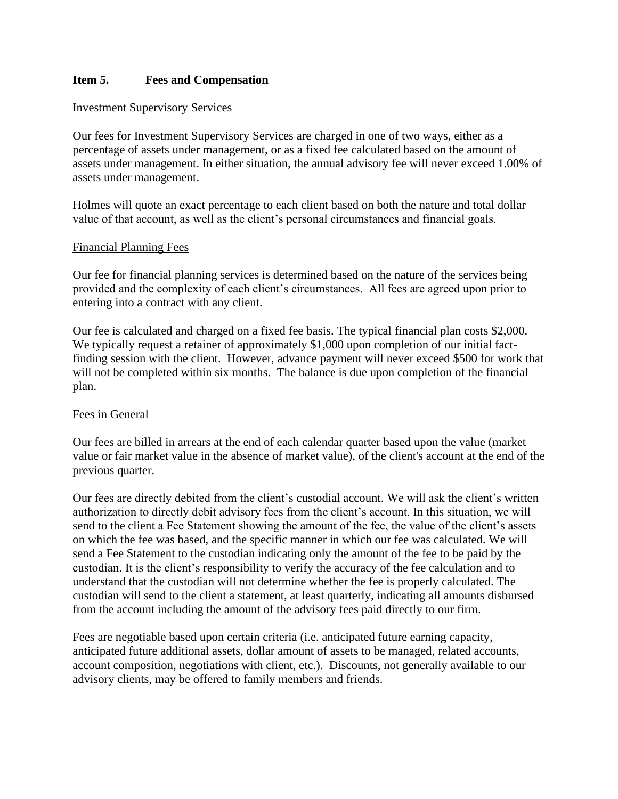### **Item 5. Fees and Compensation**

#### Investment Supervisory Services

Our fees for Investment Supervisory Services are charged in one of two ways, either as a percentage of assets under management, or as a fixed fee calculated based on the amount of assets under management. In either situation, the annual advisory fee will never exceed 1.00% of assets under management.

Holmes will quote an exact percentage to each client based on both the nature and total dollar value of that account, as well as the client's personal circumstances and financial goals.

#### Financial Planning Fees

Our fee for financial planning services is determined based on the nature of the services being provided and the complexity of each client's circumstances. All fees are agreed upon prior to entering into a contract with any client.

Our fee is calculated and charged on a fixed fee basis. The typical financial plan costs \$2,000. We typically request a retainer of approximately \$1,000 upon completion of our initial factfinding session with the client. However, advance payment will never exceed \$500 for work that will not be completed within six months. The balance is due upon completion of the financial plan.

#### Fees in General

Our fees are billed in arrears at the end of each calendar quarter based upon the value (market value or fair market value in the absence of market value), of the client's account at the end of the previous quarter.

Our fees are directly debited from the client's custodial account. We will ask the client's written authorization to directly debit advisory fees from the client's account. In this situation, we will send to the client a Fee Statement showing the amount of the fee, the value of the client's assets on which the fee was based, and the specific manner in which our fee was calculated. We will send a Fee Statement to the custodian indicating only the amount of the fee to be paid by the custodian. It is the client's responsibility to verify the accuracy of the fee calculation and to understand that the custodian will not determine whether the fee is properly calculated. The custodian will send to the client a statement, at least quarterly, indicating all amounts disbursed from the account including the amount of the advisory fees paid directly to our firm.

Fees are negotiable based upon certain criteria (i.e. anticipated future earning capacity, anticipated future additional assets, dollar amount of assets to be managed, related accounts, account composition, negotiations with client, etc.). Discounts, not generally available to our advisory clients, may be offered to family members and friends.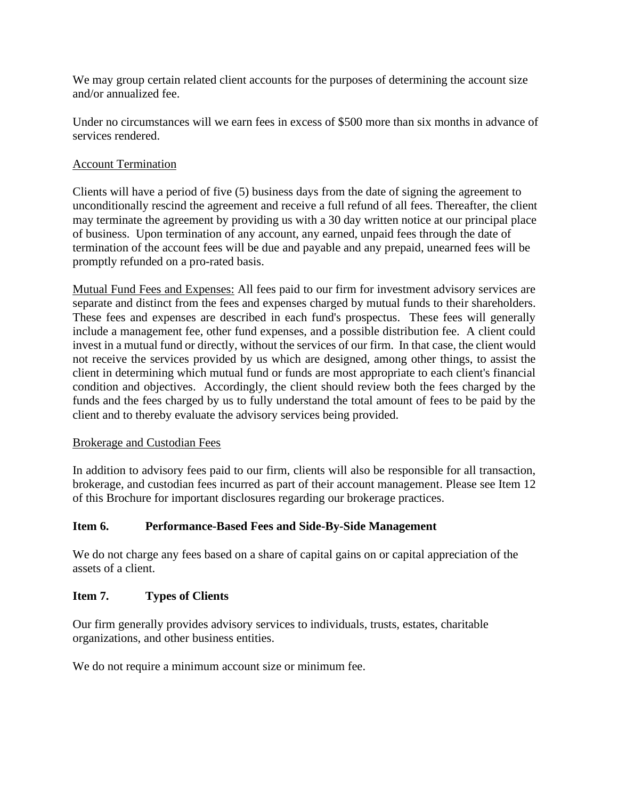We may group certain related client accounts for the purposes of determining the account size and/or annualized fee.

Under no circumstances will we earn fees in excess of \$500 more than six months in advance of services rendered.

## Account Termination

Clients will have a period of five (5) business days from the date of signing the agreement to unconditionally rescind the agreement and receive a full refund of all fees. Thereafter, the client may terminate the agreement by providing us with a 30 day written notice at our principal place of business. Upon termination of any account, any earned, unpaid fees through the date of termination of the account fees will be due and payable and any prepaid, unearned fees will be promptly refunded on a pro-rated basis.

Mutual Fund Fees and Expenses: All fees paid to our firm for investment advisory services are separate and distinct from the fees and expenses charged by mutual funds to their shareholders. These fees and expenses are described in each fund's prospectus. These fees will generally include a management fee, other fund expenses, and a possible distribution fee. A client could invest in a mutual fund or directly, without the services of our firm. In that case, the client would not receive the services provided by us which are designed, among other things, to assist the client in determining which mutual fund or funds are most appropriate to each client's financial condition and objectives. Accordingly, the client should review both the fees charged by the funds and the fees charged by us to fully understand the total amount of fees to be paid by the client and to thereby evaluate the advisory services being provided.

#### Brokerage and Custodian Fees

In addition to advisory fees paid to our firm, clients will also be responsible for all transaction, brokerage, and custodian fees incurred as part of their account management. Please see Item 12 of this Brochure for important disclosures regarding our brokerage practices.

## **Item 6. Performance-Based Fees and Side-By-Side Management**

We do not charge any fees based on a share of capital gains on or capital appreciation of the assets of a client.

#### **Item 7. Types of Clients**

Our firm generally provides advisory services to individuals, trusts, estates, charitable organizations, and other business entities.

We do not require a minimum account size or minimum fee.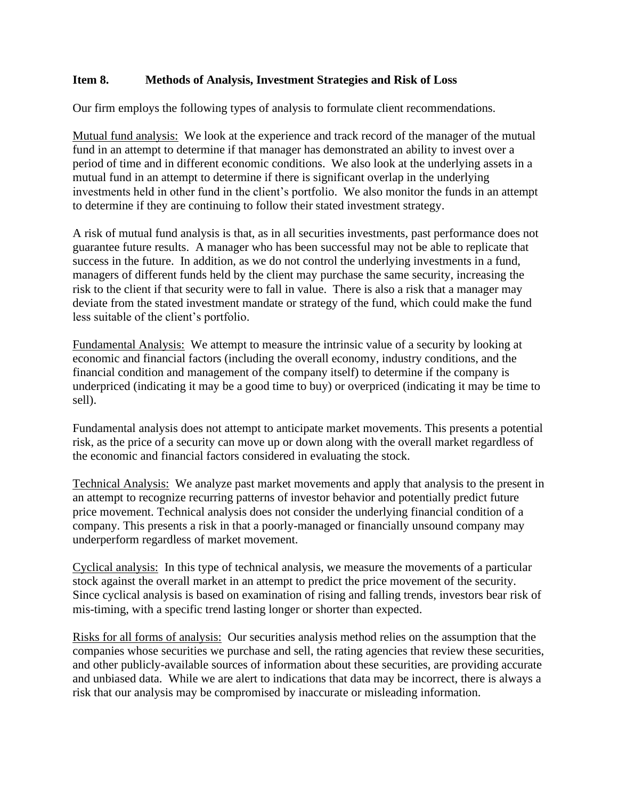## **Item 8. Methods of Analysis, Investment Strategies and Risk of Loss**

Our firm employs the following types of analysis to formulate client recommendations.

Mutual fund analysis: We look at the experience and track record of the manager of the mutual fund in an attempt to determine if that manager has demonstrated an ability to invest over a period of time and in different economic conditions. We also look at the underlying assets in a mutual fund in an attempt to determine if there is significant overlap in the underlying investments held in other fund in the client's portfolio. We also monitor the funds in an attempt to determine if they are continuing to follow their stated investment strategy.

A risk of mutual fund analysis is that, as in all securities investments, past performance does not guarantee future results. A manager who has been successful may not be able to replicate that success in the future. In addition, as we do not control the underlying investments in a fund, managers of different funds held by the client may purchase the same security, increasing the risk to the client if that security were to fall in value. There is also a risk that a manager may deviate from the stated investment mandate or strategy of the fund, which could make the fund less suitable of the client's portfolio.

Fundamental Analysis: We attempt to measure the intrinsic value of a security by looking at economic and financial factors (including the overall economy, industry conditions, and the financial condition and management of the company itself) to determine if the company is underpriced (indicating it may be a good time to buy) or overpriced (indicating it may be time to sell).

Fundamental analysis does not attempt to anticipate market movements. This presents a potential risk, as the price of a security can move up or down along with the overall market regardless of the economic and financial factors considered in evaluating the stock.

Technical Analysis: We analyze past market movements and apply that analysis to the present in an attempt to recognize recurring patterns of investor behavior and potentially predict future price movement. Technical analysis does not consider the underlying financial condition of a company. This presents a risk in that a poorly-managed or financially unsound company may underperform regardless of market movement.

Cyclical analysis: In this type of technical analysis, we measure the movements of a particular stock against the overall market in an attempt to predict the price movement of the security. Since cyclical analysis is based on examination of rising and falling trends, investors bear risk of mis-timing, with a specific trend lasting longer or shorter than expected.

Risks for all forms of analysis: Our securities analysis method relies on the assumption that the companies whose securities we purchase and sell, the rating agencies that review these securities, and other publicly-available sources of information about these securities, are providing accurate and unbiased data. While we are alert to indications that data may be incorrect, there is always a risk that our analysis may be compromised by inaccurate or misleading information.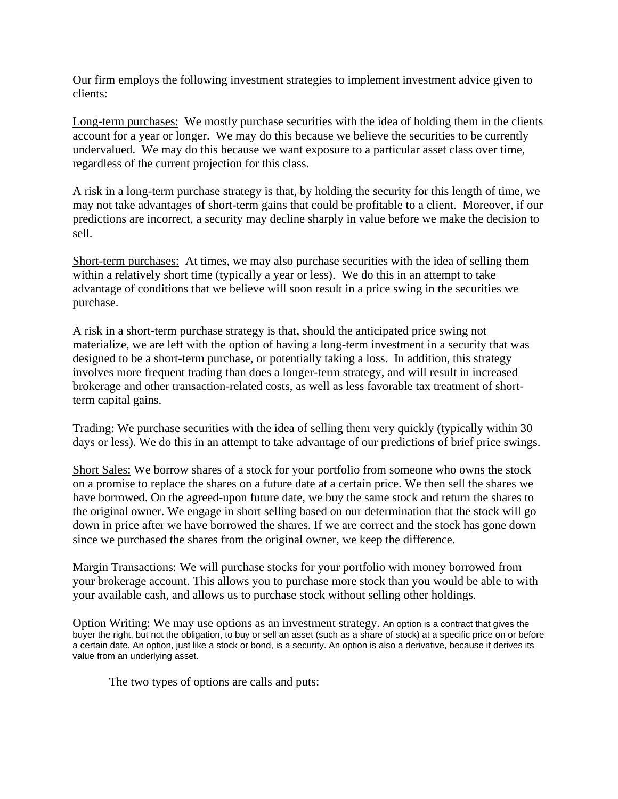Our firm employs the following investment strategies to implement investment advice given to clients:

Long-term purchases: We mostly purchase securities with the idea of holding them in the clients account for a year or longer. We may do this because we believe the securities to be currently undervalued. We may do this because we want exposure to a particular asset class over time, regardless of the current projection for this class.

A risk in a long-term purchase strategy is that, by holding the security for this length of time, we may not take advantages of short-term gains that could be profitable to a client. Moreover, if our predictions are incorrect, a security may decline sharply in value before we make the decision to sell.

Short-term purchases: At times, we may also purchase securities with the idea of selling them within a relatively short time (typically a year or less). We do this in an attempt to take advantage of conditions that we believe will soon result in a price swing in the securities we purchase.

A risk in a short-term purchase strategy is that, should the anticipated price swing not materialize, we are left with the option of having a long-term investment in a security that was designed to be a short-term purchase, or potentially taking a loss. In addition, this strategy involves more frequent trading than does a longer-term strategy, and will result in increased brokerage and other transaction-related costs, as well as less favorable tax treatment of shortterm capital gains.

Trading: We purchase securities with the idea of selling them very quickly (typically within 30 days or less). We do this in an attempt to take advantage of our predictions of brief price swings.

Short Sales: We borrow shares of a stock for your portfolio from someone who owns the stock on a promise to replace the shares on a future date at a certain price. We then sell the shares we have borrowed. On the agreed-upon future date, we buy the same stock and return the shares to the original owner. We engage in short selling based on our determination that the stock will go down in price after we have borrowed the shares. If we are correct and the stock has gone down since we purchased the shares from the original owner, we keep the difference.

Margin Transactions: We will purchase stocks for your portfolio with money borrowed from your brokerage account. This allows you to purchase more stock than you would be able to with your available cash, and allows us to purchase stock without selling other holdings.

Option Writing: We may use options as an investment strategy. An option is a contract that gives the buyer the right, but not the obligation, to buy or sell an asset (such as a share of stock) at a specific price on or before a certain date. An option, just like a stock or bond, is a security. An option is also a derivative, because it derives its value from an underlying asset.

The two types of options are calls and puts: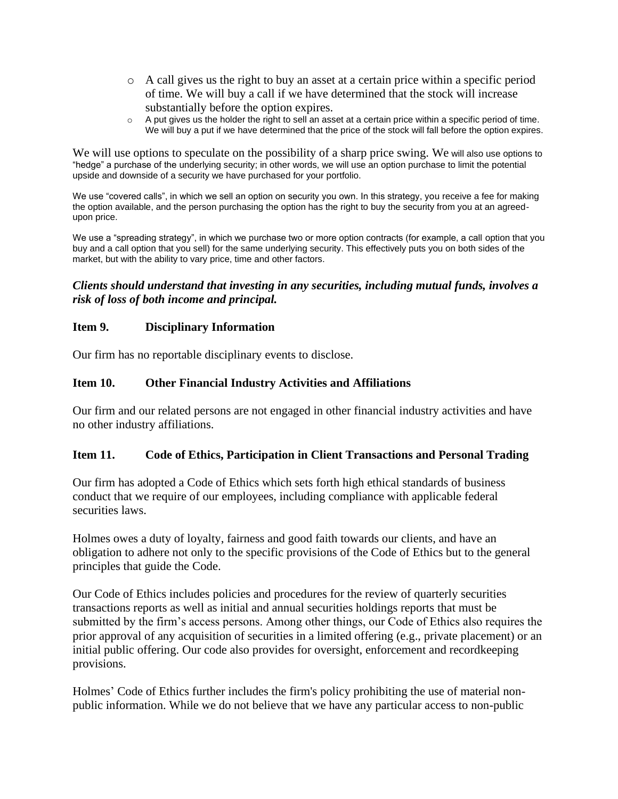- o A call gives us the right to buy an asset at a certain price within a specific period of time. We will buy a call if we have determined that the stock will increase substantially before the option expires.
- $\circ$  A put gives us the holder the right to sell an asset at a certain price within a specific period of time. We will buy a put if we have determined that the price of the stock will fall before the option expires.

We will use options to speculate on the possibility of a sharp price swing. We will also use options to "hedge" a purchase of the underlying security; in other words, we will use an option purchase to limit the potential upside and downside of a security we have purchased for your portfolio.

We use "covered calls", in which we sell an option on security you own. In this strategy, you receive a fee for making the option available, and the person purchasing the option has the right to buy the security from you at an agreedupon price.

We use a "spreading strategy", in which we purchase two or more option contracts (for example, a call option that you buy and a call option that you sell) for the same underlying security. This effectively puts you on both sides of the market, but with the ability to vary price, time and other factors.

## *Clients should understand that investing in any securities, including mutual funds, involves a risk of loss of both income and principal.*

#### **Item 9. Disciplinary Information**

Our firm has no reportable disciplinary events to disclose.

#### **Item 10. Other Financial Industry Activities and Affiliations**

Our firm and our related persons are not engaged in other financial industry activities and have no other industry affiliations.

### **Item 11. Code of Ethics, Participation in Client Transactions and Personal Trading**

Our firm has adopted a Code of Ethics which sets forth high ethical standards of business conduct that we require of our employees, including compliance with applicable federal securities laws.

Holmes owes a duty of loyalty, fairness and good faith towards our clients, and have an obligation to adhere not only to the specific provisions of the Code of Ethics but to the general principles that guide the Code.

Our Code of Ethics includes policies and procedures for the review of quarterly securities transactions reports as well as initial and annual securities holdings reports that must be submitted by the firm's access persons. Among other things, our Code of Ethics also requires the prior approval of any acquisition of securities in a limited offering (e.g., private placement) or an initial public offering. Our code also provides for oversight, enforcement and recordkeeping provisions.

Holmes' Code of Ethics further includes the firm's policy prohibiting the use of material nonpublic information. While we do not believe that we have any particular access to non-public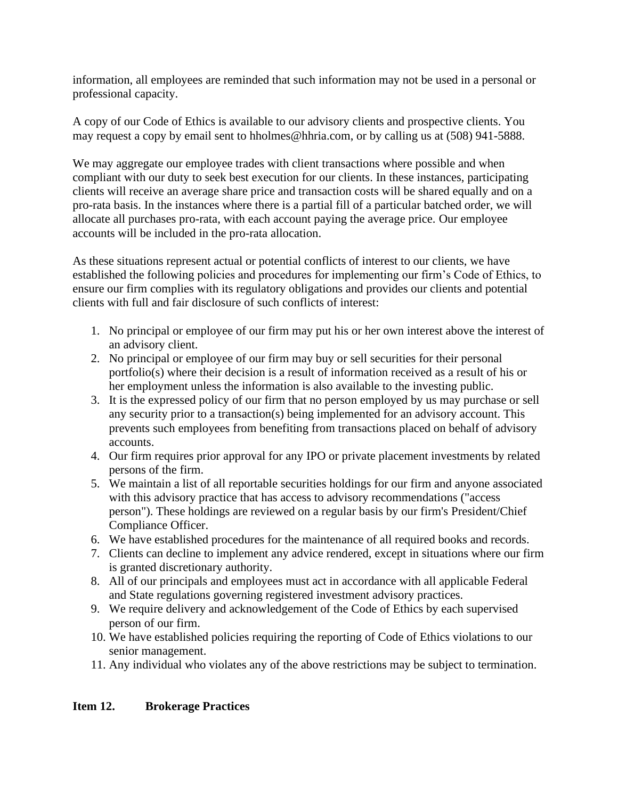information, all employees are reminded that such information may not be used in a personal or professional capacity.

A copy of our Code of Ethics is available to our advisory clients and prospective clients. You may request a copy by email sent to hholmes@hhria.com, or by calling us at (508) 941-5888.

We may aggregate our employee trades with client transactions where possible and when compliant with our duty to seek best execution for our clients. In these instances, participating clients will receive an average share price and transaction costs will be shared equally and on a pro-rata basis. In the instances where there is a partial fill of a particular batched order, we will allocate all purchases pro-rata, with each account paying the average price. Our employee accounts will be included in the pro-rata allocation.

As these situations represent actual or potential conflicts of interest to our clients, we have established the following policies and procedures for implementing our firm's Code of Ethics, to ensure our firm complies with its regulatory obligations and provides our clients and potential clients with full and fair disclosure of such conflicts of interest:

- 1. No principal or employee of our firm may put his or her own interest above the interest of an advisory client.
- 2. No principal or employee of our firm may buy or sell securities for their personal portfolio(s) where their decision is a result of information received as a result of his or her employment unless the information is also available to the investing public.
- 3. It is the expressed policy of our firm that no person employed by us may purchase or sell any security prior to a transaction(s) being implemented for an advisory account. This prevents such employees from benefiting from transactions placed on behalf of advisory accounts.
- 4. Our firm requires prior approval for any IPO or private placement investments by related persons of the firm.
- 5. We maintain a list of all reportable securities holdings for our firm and anyone associated with this advisory practice that has access to advisory recommendations ("access person"). These holdings are reviewed on a regular basis by our firm's President/Chief Compliance Officer.
- 6. We have established procedures for the maintenance of all required books and records.
- 7. Clients can decline to implement any advice rendered, except in situations where our firm is granted discretionary authority.
- 8. All of our principals and employees must act in accordance with all applicable Federal and State regulations governing registered investment advisory practices.
- 9. We require delivery and acknowledgement of the Code of Ethics by each supervised person of our firm.
- 10. We have established policies requiring the reporting of Code of Ethics violations to our senior management.
- 11. Any individual who violates any of the above restrictions may be subject to termination.

## **Item 12. Brokerage Practices**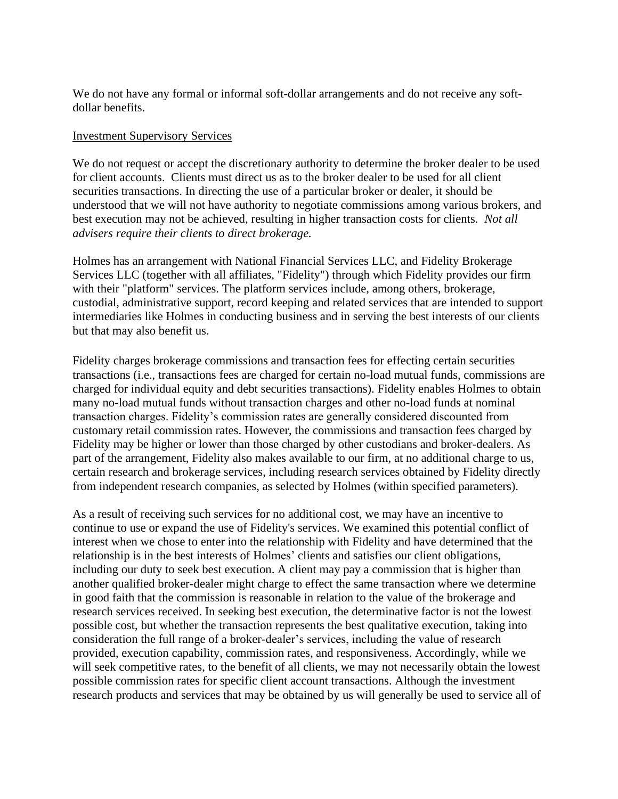We do not have any formal or informal soft-dollar arrangements and do not receive any softdollar benefits.

#### Investment Supervisory Services

We do not request or accept the discretionary authority to determine the broker dealer to be used for client accounts. Clients must direct us as to the broker dealer to be used for all client securities transactions. In directing the use of a particular broker or dealer, it should be understood that we will not have authority to negotiate commissions among various brokers, and best execution may not be achieved, resulting in higher transaction costs for clients. *Not all advisers require their clients to direct brokerage.*

Holmes has an arrangement with National Financial Services LLC, and Fidelity Brokerage Services LLC (together with all affiliates, "Fidelity") through which Fidelity provides our firm with their "platform" services. The platform services include, among others, brokerage, custodial, administrative support, record keeping and related services that are intended to support intermediaries like Holmes in conducting business and in serving the best interests of our clients but that may also benefit us.

Fidelity charges brokerage commissions and transaction fees for effecting certain securities transactions (i.e., transactions fees are charged for certain no-load mutual funds, commissions are charged for individual equity and debt securities transactions). Fidelity enables Holmes to obtain many no-load mutual funds without transaction charges and other no-load funds at nominal transaction charges. Fidelity's commission rates are generally considered discounted from customary retail commission rates. However, the commissions and transaction fees charged by Fidelity may be higher or lower than those charged by other custodians and broker-dealers. As part of the arrangement, Fidelity also makes available to our firm, at no additional charge to us, certain research and brokerage services, including research services obtained by Fidelity directly from independent research companies, as selected by Holmes (within specified parameters).

As a result of receiving such services for no additional cost, we may have an incentive to continue to use or expand the use of Fidelity's services. We examined this potential conflict of interest when we chose to enter into the relationship with Fidelity and have determined that the relationship is in the best interests of Holmes' clients and satisfies our client obligations, including our duty to seek best execution. A client may pay a commission that is higher than another qualified broker-dealer might charge to effect the same transaction where we determine in good faith that the commission is reasonable in relation to the value of the brokerage and research services received. In seeking best execution, the determinative factor is not the lowest possible cost, but whether the transaction represents the best qualitative execution, taking into consideration the full range of a broker-dealer's services, including the value of research provided, execution capability, commission rates, and responsiveness. Accordingly, while we will seek competitive rates, to the benefit of all clients, we may not necessarily obtain the lowest possible commission rates for specific client account transactions. Although the investment research products and services that may be obtained by us will generally be used to service all of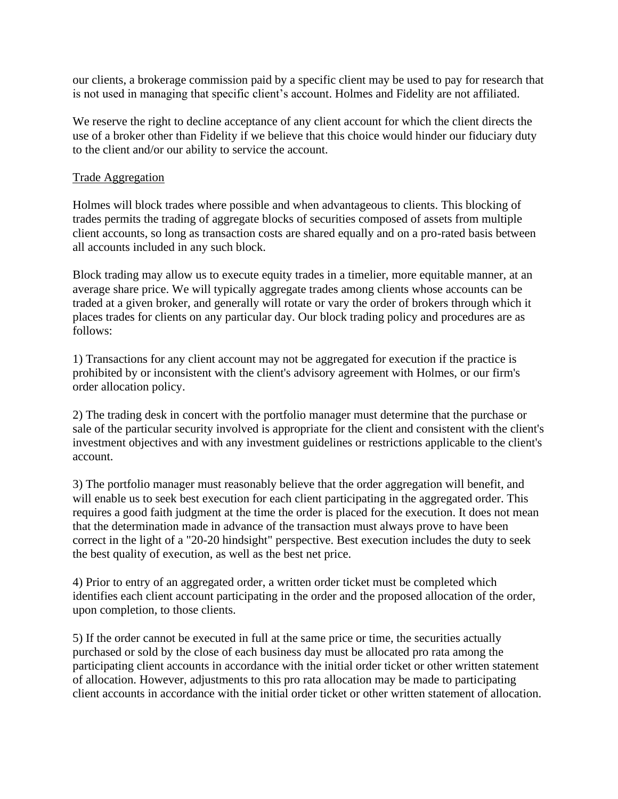our clients, a brokerage commission paid by a specific client may be used to pay for research that is not used in managing that specific client's account. Holmes and Fidelity are not affiliated.

We reserve the right to decline acceptance of any client account for which the client directs the use of a broker other than Fidelity if we believe that this choice would hinder our fiduciary duty to the client and/or our ability to service the account.

#### Trade Aggregation

Holmes will block trades where possible and when advantageous to clients. This blocking of trades permits the trading of aggregate blocks of securities composed of assets from multiple client accounts, so long as transaction costs are shared equally and on a pro-rated basis between all accounts included in any such block.

Block trading may allow us to execute equity trades in a timelier, more equitable manner, at an average share price. We will typically aggregate trades among clients whose accounts can be traded at a given broker, and generally will rotate or vary the order of brokers through which it places trades for clients on any particular day. Our block trading policy and procedures are as follows:

1) Transactions for any client account may not be aggregated for execution if the practice is prohibited by or inconsistent with the client's advisory agreement with Holmes, or our firm's order allocation policy.

2) The trading desk in concert with the portfolio manager must determine that the purchase or sale of the particular security involved is appropriate for the client and consistent with the client's investment objectives and with any investment guidelines or restrictions applicable to the client's account.

3) The portfolio manager must reasonably believe that the order aggregation will benefit, and will enable us to seek best execution for each client participating in the aggregated order. This requires a good faith judgment at the time the order is placed for the execution. It does not mean that the determination made in advance of the transaction must always prove to have been correct in the light of a "20-20 hindsight" perspective. Best execution includes the duty to seek the best quality of execution, as well as the best net price.

4) Prior to entry of an aggregated order, a written order ticket must be completed which identifies each client account participating in the order and the proposed allocation of the order, upon completion, to those clients.

5) If the order cannot be executed in full at the same price or time, the securities actually purchased or sold by the close of each business day must be allocated pro rata among the participating client accounts in accordance with the initial order ticket or other written statement of allocation. However, adjustments to this pro rata allocation may be made to participating client accounts in accordance with the initial order ticket or other written statement of allocation.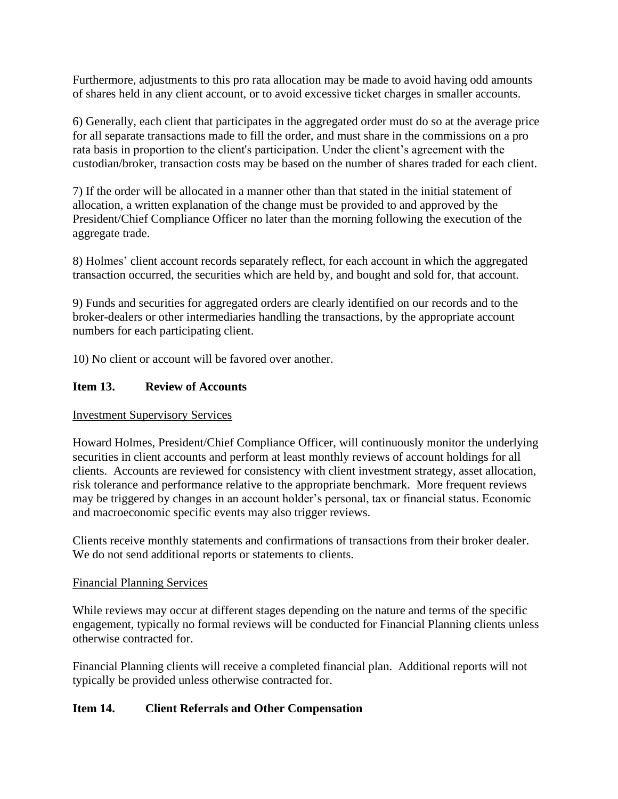Furthermore, adjustments to this pro rata allocation may be made to avoid having odd amounts of shares held in any client account, or to avoid excessive ticket charges in smaller accounts.

6) Generally, each client that participates in the aggregated order must do so at the average price for all separate transactions made to fill the order, and must share in the commissions on a pro rata basis in proportion to the client's participation. Under the client's agreement with the custodian/broker, transaction costs may be based on the number of shares traded for each client.

7) If the order will be allocated in a manner other than that stated in the initial statement of allocation, a written explanation of the change must be provided to and approved by the President/Chief Compliance Officer no later than the morning following the execution of the aggregate trade.

8) Holmes' client account records separately reflect, for each account in which the aggregated transaction occurred, the securities which are held by, and bought and sold for, that account.

9) Funds and securities for aggregated orders are clearly identified on our records and to the broker-dealers or other intermediaries handling the transactions, by the appropriate account numbers for each participating client.

10) No client or account will be favored over another.

## **Item 13. Review of Accounts**

#### Investment Supervisory Services

Howard Holmes, President/Chief Compliance Officer, will continuously monitor the underlying securities in client accounts and perform at least monthly reviews of account holdings for all clients. Accounts are reviewed for consistency with client investment strategy, asset allocation, risk tolerance and performance relative to the appropriate benchmark. More frequent reviews may be triggered by changes in an account holder's personal, tax or financial status. Economic and macroeconomic specific events may also trigger reviews.

Clients receive monthly statements and confirmations of transactions from their broker dealer. We do not send additional reports or statements to clients.

#### Financial Planning Services

While reviews may occur at different stages depending on the nature and terms of the specific engagement, typically no formal reviews will be conducted for Financial Planning clients unless otherwise contracted for.

Financial Planning clients will receive a completed financial plan. Additional reports will not typically be provided unless otherwise contracted for.

## **Item 14. Client Referrals and Other Compensation**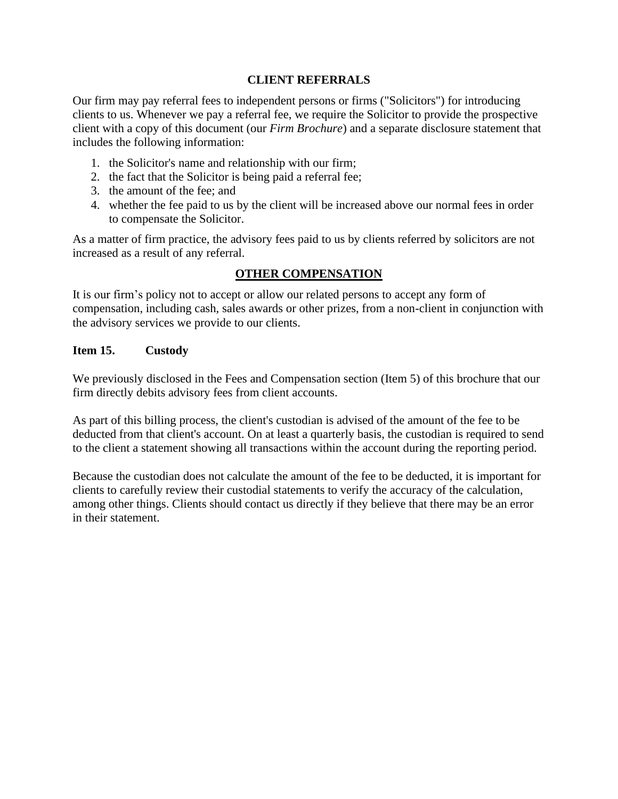## **CLIENT REFERRALS**

Our firm may pay referral fees to independent persons or firms ("Solicitors") for introducing clients to us. Whenever we pay a referral fee, we require the Solicitor to provide the prospective client with a copy of this document (our *Firm Brochure*) and a separate disclosure statement that includes the following information:

- 1. the Solicitor's name and relationship with our firm;
- 2. the fact that the Solicitor is being paid a referral fee;
- 3. the amount of the fee; and
- 4. whether the fee paid to us by the client will be increased above our normal fees in order to compensate the Solicitor.

As a matter of firm practice, the advisory fees paid to us by clients referred by solicitors are not increased as a result of any referral.

### **OTHER COMPENSATION**

It is our firm's policy not to accept or allow our related persons to accept any form of compensation, including cash, sales awards or other prizes, from a non-client in conjunction with the advisory services we provide to our clients.

#### **Item 15. Custody**

We previously disclosed in the Fees and Compensation section (Item 5) of this brochure that our firm directly debits advisory fees from client accounts.

As part of this billing process, the client's custodian is advised of the amount of the fee to be deducted from that client's account. On at least a quarterly basis, the custodian is required to send to the client a statement showing all transactions within the account during the reporting period.

Because the custodian does not calculate the amount of the fee to be deducted, it is important for clients to carefully review their custodial statements to verify the accuracy of the calculation, among other things. Clients should contact us directly if they believe that there may be an error in their statement.